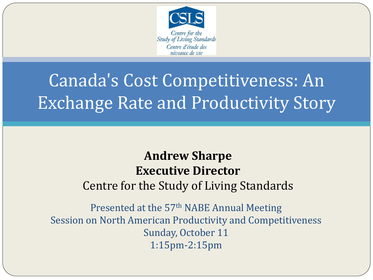

# Canada's Cost Competitiveness: An Exchange Rate and Productivity Story

### **Andrew Sharpe Executive Director** Centre for the Study of Living Standards

Presented at the 57th NABE Annual Meeting Session on North American Productivity and Competitiveness Sunday, October 11 1:15pm-2:15pm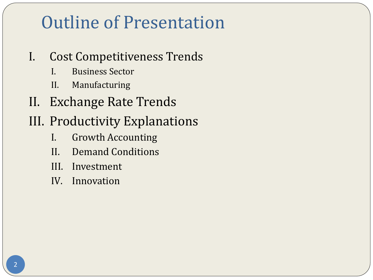## Outline of Presentation

### I. Cost Competitiveness Trends

- I. Business Sector
- II. Manufacturing
- II. Exchange Rate Trends
- III. Productivity Explanations
	- I. Growth Accounting
	- II. Demand Conditions
	- III. Investment
	- IV. Innovation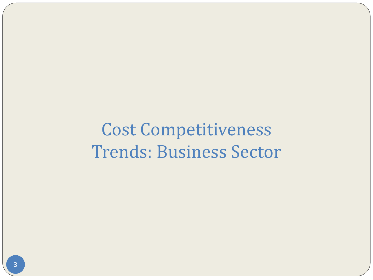Cost Competitiveness Trends: Business Sector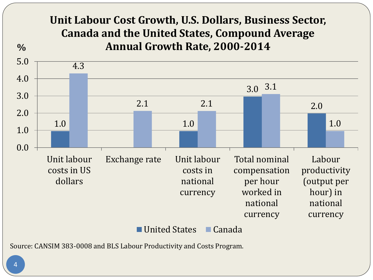#### 1.0 1.0 3.0 3.1 2.0 4.3 2.1 2.1 1.0 0.0 1.0 2.0 3.0 4.0 5.0 Unit labour costs in US dollars Exchange rate Unit labour costs in national currency Total nominal compensation per hour worked in national currency Labour productivity (output per hour) in national currency **% Unit Labour Cost Growth, U.S. Dollars, Business Sector, Canada and the United States, Compound Average Annual Growth Rate, 2000-2014** ■ United States ■ Canada

Source: CANSIM 383-0008 and BLS Labour Productivity and Costs Program.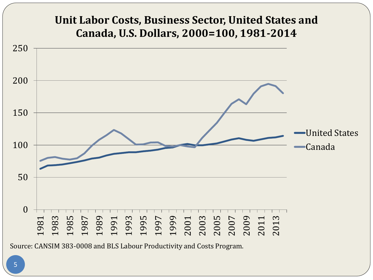### **Unit Labor Costs, Business Sector, United States and Canada, U.S. Dollars, 2000=100, 1981-2014** United States

Canada

 1987<br>1995 1995 1996<br>1995 1996 1996 1996<br>2006 1996 1996 1997<br>2006 1998 1999 199

Source: CANSIM 383-0008 and BLS Labour Productivity and Costs Program.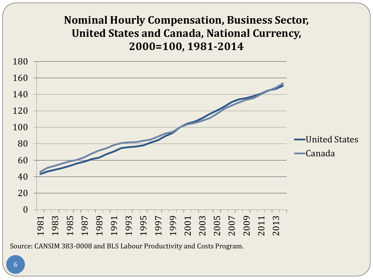### **Nominal Hourly Compensation, Business Sector, United States and Canada, National Currency, 2000=100, 1981-2014**



Source: CANSIM 383-0008 and BLS Labour Productivity and Costs Program.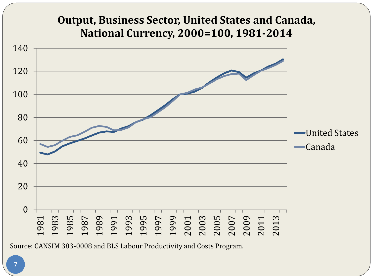#### **Output, Business Sector, United States and Canada, National Currency, 2000=100, 1981-2014**

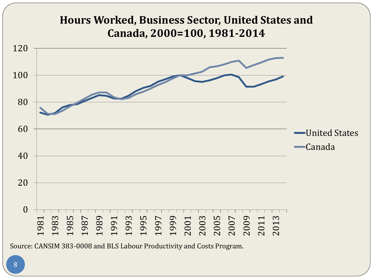

Source: CANSIM 383-0008 and BLS Labour Productivity and Costs Program.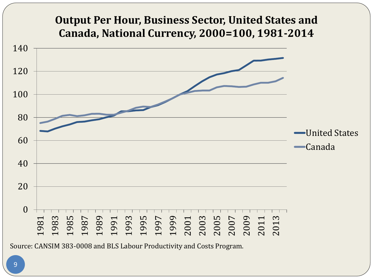#### **Output Per Hour, Business Sector, United States and Canada, National Currency, 2000=100, 1981-2014**

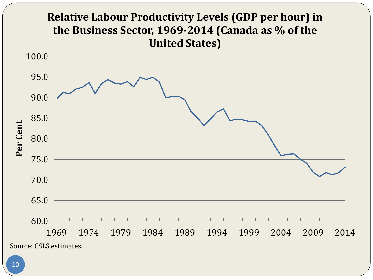### **Relative Labour Productivity Levels (GDP per hour) in the Business Sector, 1969-2014 (Canada as % of the United States)**

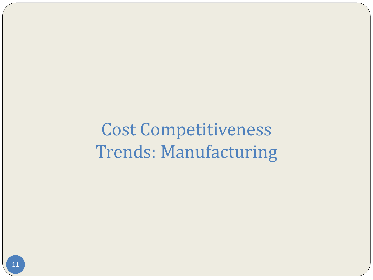Cost Competitiveness Trends: Manufacturing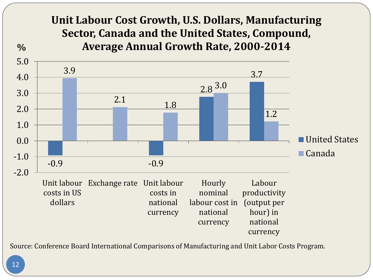#### **Unit Labour Cost Growth, U.S. Dollars, Manufacturing Sector, Canada and the United States, Compound, Average Annual Growth Rate, 2000-2014**



Source: Conference Board International Comparisons of Manufacturing and Unit Labor Costs Program.

**%**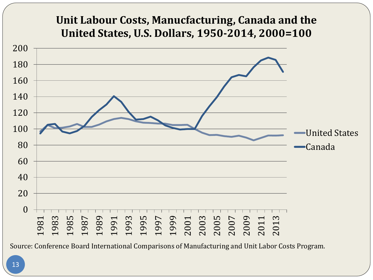### **Unit Labour Costs, Manucfacturing, Canada and the United States, U.S. Dollars, 1950-2014, 2000=100**

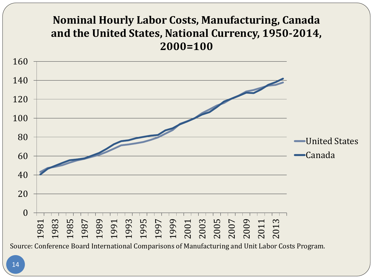### **Nominal Hourly Labor Costs, Manufacturing, Canada and the United States, National Currency, 1950-2014, 2000=100**

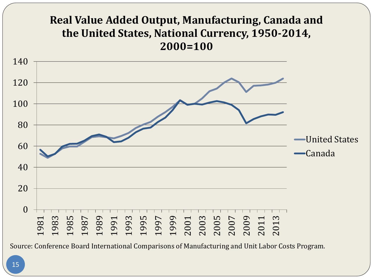### **Real Value Added Output, Manufacturing, Canada and the United States, National Currency, 1950-2014, 2000=100**

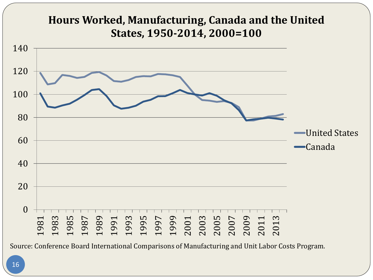#### **Hours Worked, Manufacturing, Canada and the United States, 1950-2014, 2000=100**

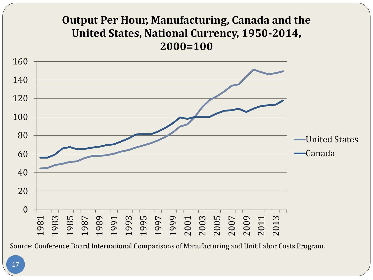#### **Output Per Hour, Manufacturing, Canada and the United States, National Currency, 1950-2014, 2000=100**

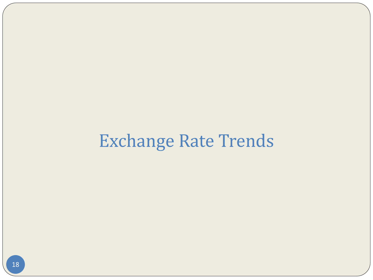## Exchange Rate Trends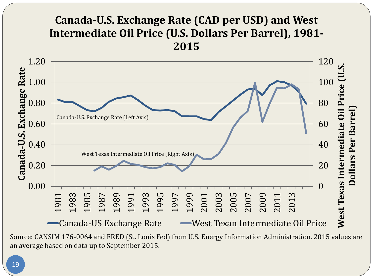### **Canada-U.S. Exchange Rate (CAD per USD) and West Intermediate Oil Price (U.S. Dollars Per Barrel), 1981-**



Source: CANSIM 176-0064 and FRED (St. Louis Fed) from U.S. Energy Information Administration. 2015 values are an average based on data up to September 2015.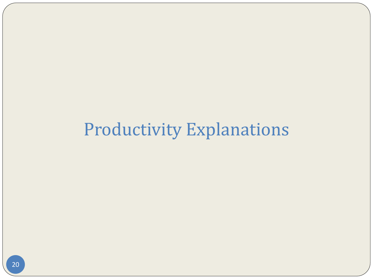### Productivity Explanations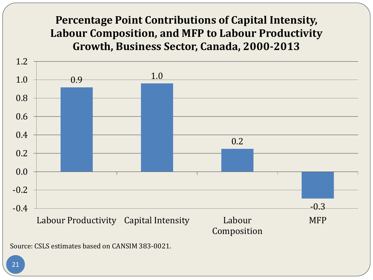#### **Percentage Point Contributions of Capital Intensity, Labour Composition, and MFP to Labour Productivity Growth, Business Sector, Canada, 2000-2013**

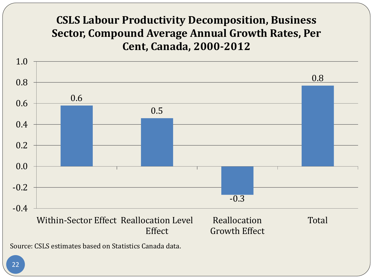### **CSLS Labour Productivity Decomposition, Business Sector, Compound Average Annual Growth Rates, Per Cent, Canada, 2000-2012**

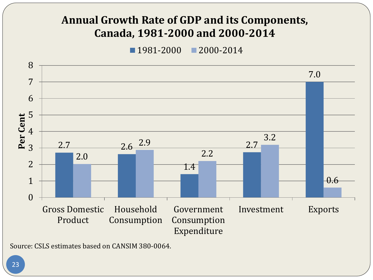#### **Annual Growth Rate of GDP and its Components, Canada, 1981-2000 and 2000-2014**

1981-2000 2000-2014



Source: CSLS estimates based on CANSIM 380-0064.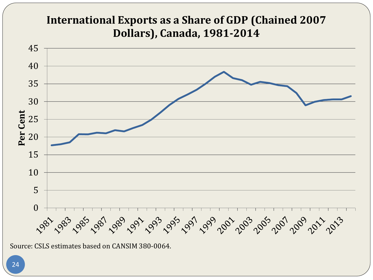### **International Exports as a Share of GDP (Chained 2007 Dollars), Canada, 1981-2014**

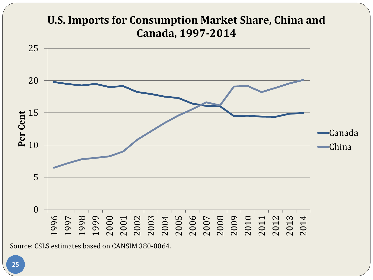

Source: CSLS estimates based on CANSIM 380-0064.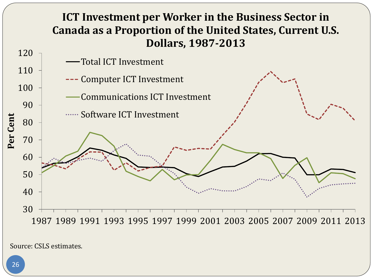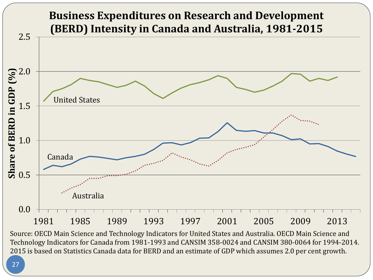

Source: OECD Main Science and Technology Indicators for United States and Australia. OECD Main Science and Technology Indicators for Canada from 1981-1993 and CANSIM 358-0024 and CANSIM 380-0064 for 1994-2014. 2015 is based on Statistics Canada data for BERD and an estimate of GDP which assumes 2.0 per cent growth.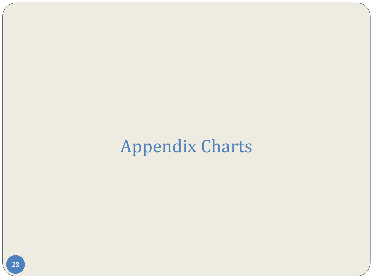# Appendix Charts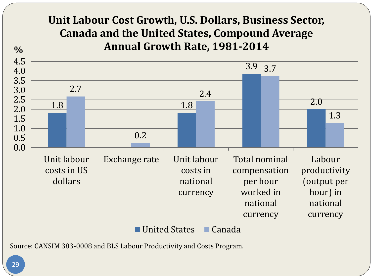#### **Unit Labour Cost Growth, U.S. Dollars, Business Sector, Canada and the United States, Compound Average Annual Growth Rate, 1981-2014**



Source: CANSIM 383-0008 and BLS Labour Productivity and Costs Program.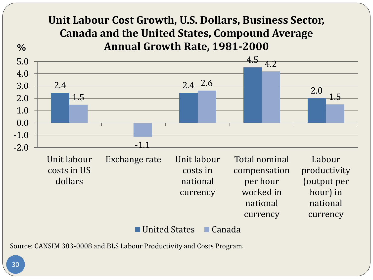#### **Unit Labour Cost Growth, U.S. Dollars, Business Sector, Canada and the United States, Compound Average Annual Growth Rate, 1981-2000**

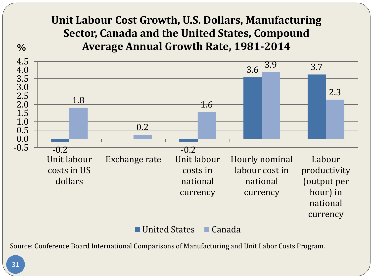#### **Unit Labour Cost Growth, U.S. Dollars, Manufacturing Sector, Canada and the United States, Compound Average Annual Growth Rate, 1981-2014**



Source: Conference Board International Comparisons of Manufacturing and Unit Labor Costs Program.

**%**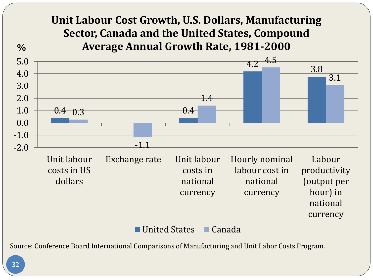#### **Unit Labour Cost Growth, U.S. Dollars, Manufacturing Sector, Canada and the United States, Compound Average Annual Growth Rate, 1981-2000**



Source: Conference Board International Comparisons of Manufacturing and Unit Labor Costs Program.

**%**